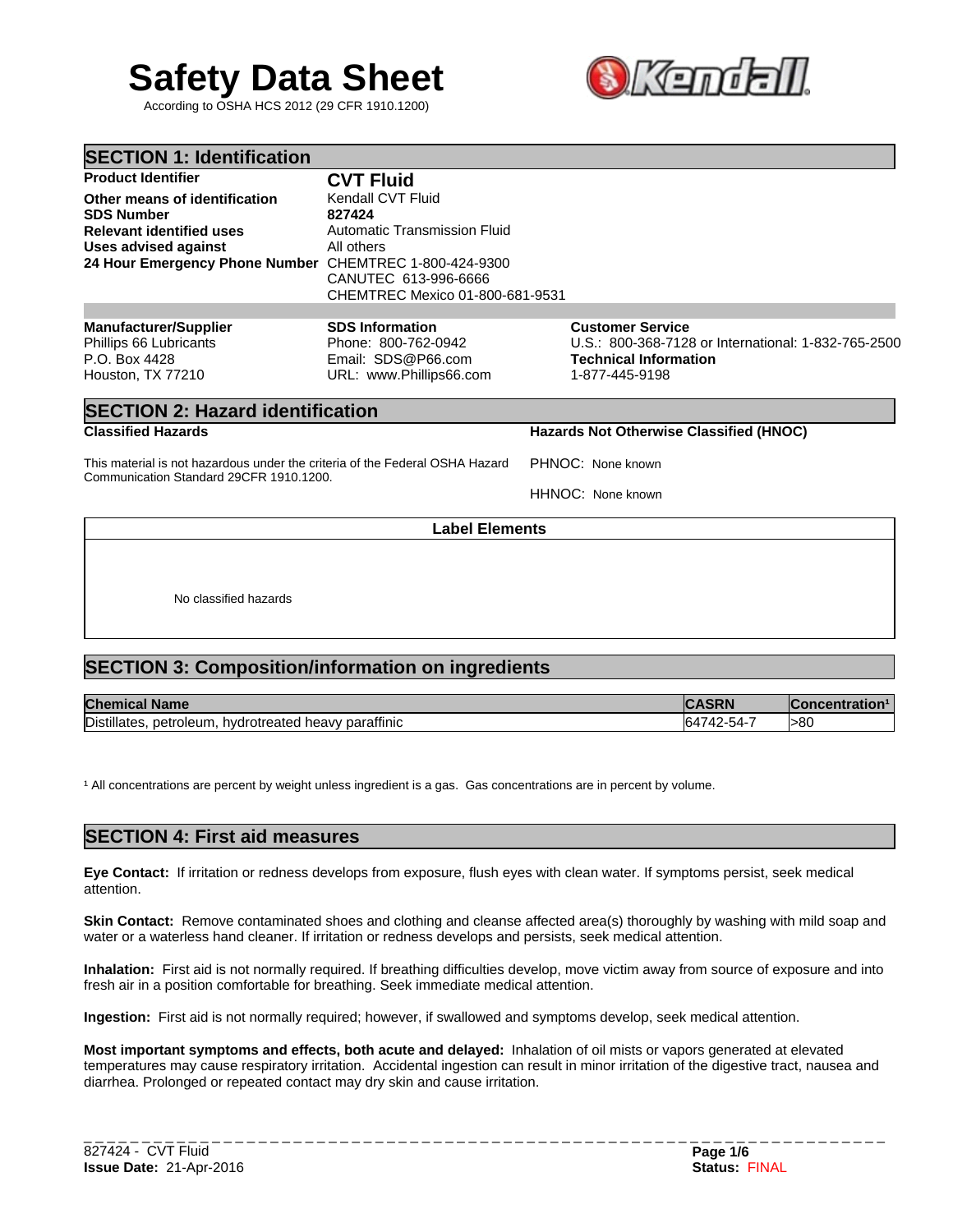# **Safety Data Sheet 3. 经国**

According to OSHA HCS 2012 (29 CFR 1910.1200)



| <b>SECTION 1: Identification</b>                                                                                                                                               |                                                                                                                                      |                                                                                                                                  |
|--------------------------------------------------------------------------------------------------------------------------------------------------------------------------------|--------------------------------------------------------------------------------------------------------------------------------------|----------------------------------------------------------------------------------------------------------------------------------|
| <b>Product Identifier</b>                                                                                                                                                      | <b>CVT Fluid</b>                                                                                                                     |                                                                                                                                  |
| Other means of identification<br><b>SDS Number</b><br><b>Relevant identified uses</b><br><b>Uses advised against</b><br>24 Hour Emergency Phone Number CHEMTREC 1-800-424-9300 | Kendall CVT Fluid<br>827424<br>Automatic Transmission Fluid<br>All others<br>CANUTEC 613-996-6666<br>CHEMTREC Mexico 01-800-681-9531 |                                                                                                                                  |
| <b>Manufacturer/Supplier</b><br>Phillips 66 Lubricants<br>P.O. Box 4428<br>Houston, TX 77210                                                                                   | <b>SDS Information</b><br>Phone: 800-762-0942<br>Email: SDS@P66.com<br>URL: www.Phillips66.com                                       | <b>Customer Service</b><br>U.S.: 800-368-7128 or International: 1-832-765-2500<br><b>Technical Information</b><br>1-877-445-9198 |
| <b>SECTION 2: Hazard identification</b>                                                                                                                                        |                                                                                                                                      |                                                                                                                                  |
| <b>Classified Hazards</b>                                                                                                                                                      |                                                                                                                                      | Hazards Not Otherwise Classified (HNOC)                                                                                          |
| This material is not hazardous under the criteria of the Federal OSHA Hazard<br>Communication Standard 29CFR 1910.1200.                                                        |                                                                                                                                      | PHNOC: None known                                                                                                                |
|                                                                                                                                                                                |                                                                                                                                      | HHNOC: None known                                                                                                                |
|                                                                                                                                                                                | <b>Label Elements</b>                                                                                                                |                                                                                                                                  |
|                                                                                                                                                                                |                                                                                                                                      |                                                                                                                                  |
| No classified hazards                                                                                                                                                          |                                                                                                                                      |                                                                                                                                  |

# **SECTION 3: Composition/information on ingredients**

| <b>Chemical</b><br><b>Name</b>                                             | 0.                                           | <b>ration</b> |
|----------------------------------------------------------------------------|----------------------------------------------|---------------|
| Distillates.<br><br>petroleum<br>parattinic<br>nvdr<br>neavv<br>"rotreated | - 164<br>. - - - - - - - -<br>. .<br>$\cdot$ | >80           |

<sup>1</sup> All concentrations are percent by weight unless ingredient is a gas. Gas concentrations are in percent by volume.

## **SECTION 4: First aid measures**

**Eye Contact:** If irritation or redness develops from exposure, flush eyes with clean water. If symptoms persist, seek medical attention.

**Skin Contact:** Remove contaminated shoes and clothing and cleanse affected area(s) thoroughly by washing with mild soap and water or a waterless hand cleaner. If irritation or redness develops and persists, seek medical attention.

**Inhalation:** First aid is not normally required. If breathing difficulties develop, move victim away from source of exposure and into fresh air in a position comfortable for breathing. Seek immediate medical attention.

**Ingestion:** First aid is not normally required; however, if swallowed and symptoms develop, seek medical attention.

**Most important symptoms and effects, both acute and delayed:** Inhalation of oil mists or vapors generated at elevated temperatures may cause respiratory irritation. Accidental ingestion can result in minor irritation of the digestive tract, nausea and diarrhea. Prolonged or repeated contact may dry skin and cause irritation.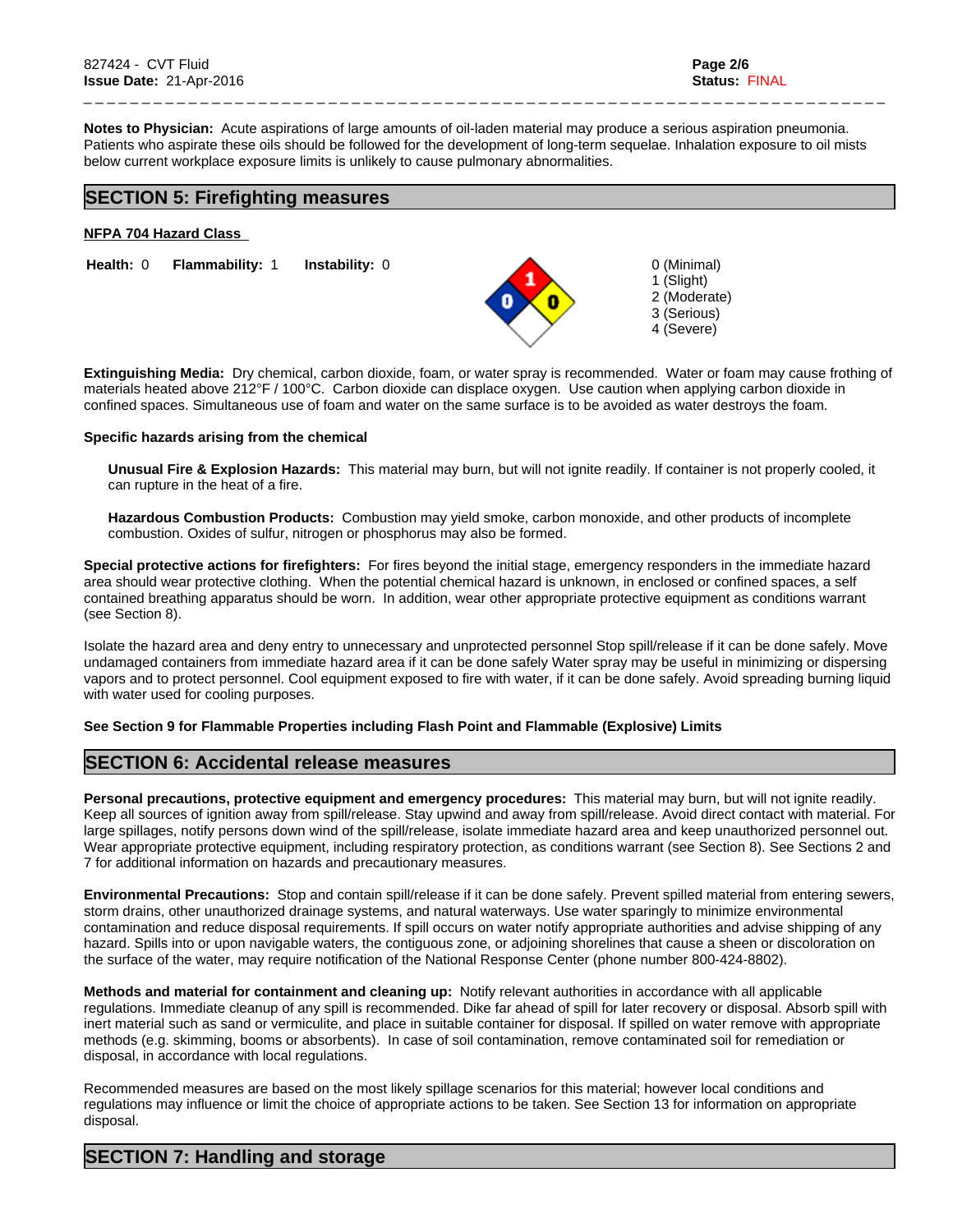0 (Minimal) 1 (Slight) 2 (Moderate) 3 (Serious) 4 (Severe)

**Notes to Physician:** Acute aspirations of large amounts of oil-laden material may produce a serious aspiration pneumonia. Patients who aspirate these oils should be followed for the development of long-term sequelae. Inhalation exposure to oil mists below current workplace exposure limits is unlikely to cause pulmonary abnormalities.

\_ \_ \_ \_ \_ \_ \_ \_ \_ \_ \_ \_ \_ \_ \_ \_ \_ \_ \_ \_ \_ \_ \_ \_ \_ \_ \_ \_ \_ \_ \_ \_ \_ \_ \_ \_ \_ \_ \_ \_ \_ \_ \_ \_ \_ \_ \_ \_ \_ \_ \_ \_ \_ \_ \_ \_ \_ \_ \_ \_ \_ \_ \_ \_ \_ \_ \_ \_ \_

## **SECTION 5: Firefighting measures**

#### **NFPA 704 Hazard Class**

**Instability:** 0 **Health:** 0 **Flammability:** 1

**Extinguishing Media:** Dry chemical, carbon dioxide, foam, or water spray is recommended. Water or foam may cause frothing of materials heated above 212°F / 100°C. Carbon dioxide can displace oxygen. Use caution when applying carbon dioxide in confined spaces. Simultaneous use of foam and water on the same surface is to be avoided as water destroys the foam.

#### **Specific hazards arising from the chemical**

**Unusual Fire & Explosion Hazards:** This material may burn, but will not ignite readily. If container is not properly cooled, it can rupture in the heat of a fire.

**Hazardous Combustion Products:** Combustion may yield smoke, carbon monoxide, and other products of incomplete combustion. Oxides of sulfur, nitrogen or phosphorus may also be formed.

**Special protective actions for firefighters:** For fires beyond the initial stage, emergency responders in the immediate hazard area should wear protective clothing. When the potential chemical hazard is unknown, in enclosed or confined spaces, a self contained breathing apparatus should be worn. In addition, wear other appropriate protective equipment as conditions warrant (see Section 8).

Isolate the hazard area and deny entry to unnecessary and unprotected personnel Stop spill/release if it can be done safely. Move undamaged containers from immediate hazard area if it can be done safely Water spray may be useful in minimizing or dispersing vapors and to protect personnel. Cool equipment exposed to fire with water, if it can be done safely. Avoid spreading burning liquid with water used for cooling purposes.

## **See Section 9 for Flammable Properties including Flash Point and Flammable (Explosive) Limits**

## **SECTION 6: Accidental release measures**

**Personal precautions, protective equipment and emergency procedures:** This material may burn, but will not ignite readily. Keep all sources of ignition away from spill/release. Stay upwind and away from spill/release. Avoid direct contact with material. For large spillages, notify persons down wind of the spill/release, isolate immediate hazard area and keep unauthorized personnel out. Wear appropriate protective equipment, including respiratory protection, as conditions warrant (see Section 8). See Sections 2 and 7 for additional information on hazards and precautionary measures.

**Environmental Precautions:** Stop and contain spill/release if it can be done safely. Prevent spilled material from entering sewers, storm drains, other unauthorized drainage systems, and natural waterways. Use water sparingly to minimize environmental contamination and reduce disposal requirements. If spill occurs on water notify appropriate authorities and advise shipping of any hazard. Spills into or upon navigable waters, the contiguous zone, or adjoining shorelines that cause a sheen or discoloration on the surface of the water, may require notification of the National Response Center (phone number 800-424-8802).

**Methods and material for containment and cleaning up:** Notify relevant authorities in accordance with all applicable regulations. Immediate cleanup of any spill is recommended. Dike far ahead of spill for later recovery or disposal. Absorb spill with inert material such as sand or vermiculite, and place in suitable container for disposal. If spilled on water remove with appropriate methods (e.g. skimming, booms or absorbents). In case of soil contamination, remove contaminated soil for remediation or disposal, in accordance with local regulations.

Recommended measures are based on the most likely spillage scenarios for this material; however local conditions and regulations may influence or limit the choice of appropriate actions to be taken. See Section 13 for information on appropriate disposal.

## **SECTION 7: Handling and storage**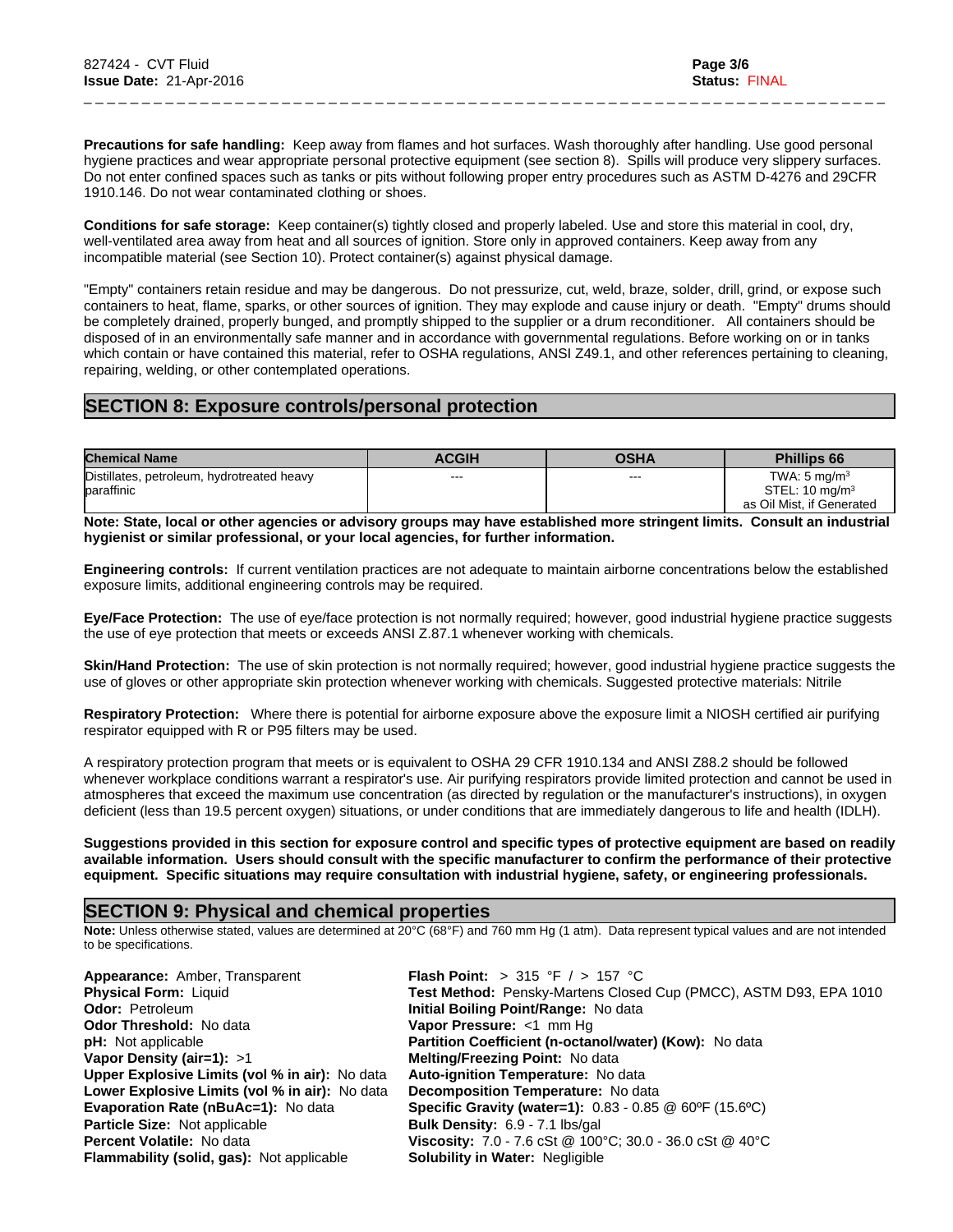**Precautions for safe handling:** Keep away from flames and hot surfaces. Wash thoroughly after handling. Use good personal hygiene practices and wear appropriate personal protective equipment (see section 8). Spills will produce very slippery surfaces. Do not enter confined spaces such as tanks or pits without following proper entry procedures such as ASTM D-4276 and 29CFR 1910.146. Do not wear contaminated clothing or shoes.

\_ \_ \_ \_ \_ \_ \_ \_ \_ \_ \_ \_ \_ \_ \_ \_ \_ \_ \_ \_ \_ \_ \_ \_ \_ \_ \_ \_ \_ \_ \_ \_ \_ \_ \_ \_ \_ \_ \_ \_ \_ \_ \_ \_ \_ \_ \_ \_ \_ \_ \_ \_ \_ \_ \_ \_ \_ \_ \_ \_ \_ \_ \_ \_ \_ \_ \_ \_ \_

**Conditions for safe storage:** Keep container(s) tightly closed and properly labeled. Use and store this material in cool, dry, well-ventilated area away from heat and all sources of ignition. Store only in approved containers. Keep away from any incompatible material (see Section 10). Protect container(s) against physical damage.

"Empty" containers retain residue and may be dangerous. Do not pressurize, cut, weld, braze, solder, drill, grind, or expose such containers to heat, flame, sparks, or other sources of ignition. They may explode and cause injury or death. "Empty" drums should be completely drained, properly bunged, and promptly shipped to the supplier or a drum reconditioner. All containers should be disposed of in an environmentally safe manner and in accordance with governmental regulations. Before working on or in tanks which contain or have contained this material, refer to OSHA regulations, ANSI Z49.1, and other references pertaining to cleaning, repairing, welding, or other contemplated operations.

## **SECTION 8: Exposure controls/personal protection**

| <b>Chemical Name</b>                       | <b>ACGIH</b> | OSHA | <b>Phillips 66</b>        |
|--------------------------------------------|--------------|------|---------------------------|
| Distillates, petroleum, hydrotreated heavy | $- - -$      | ---  | TWA: $5 \text{ mg/m}^3$   |
| baraffinic                                 |              |      | STEL: $10 \text{ mg/m}^3$ |
|                                            |              |      | as Oil Mist, if Generated |

**Note: State, local or other agencies or advisory groups may have established more stringent limits. Consult an industrial hygienist or similar professional, or your local agencies, for further information.**

**Engineering controls:** If current ventilation practices are not adequate to maintain airborne concentrations below the established exposure limits, additional engineering controls may be required.

**Eye/Face Protection:** The use of eye/face protection is not normally required; however, good industrial hygiene practice suggests the use of eye protection that meets or exceeds ANSI Z.87.1 whenever working with chemicals.

**Skin/Hand Protection:** The use of skin protection is not normally required; however, good industrial hygiene practice suggests the use of gloves or other appropriate skin protection whenever working with chemicals. Suggested protective materials: Nitrile

**Respiratory Protection:** Where there is potential for airborne exposure above the exposure limit a NIOSH certified air purifying respirator equipped with R or P95 filters may be used.

A respiratory protection program that meets or is equivalent to OSHA 29 CFR 1910.134 and ANSI Z88.2 should be followed whenever workplace conditions warrant a respirator's use. Air purifying respirators provide limited protection and cannot be used in atmospheres that exceed the maximum use concentration (as directed by regulation or the manufacturer's instructions), in oxygen deficient (less than 19.5 percent oxygen) situations, or under conditions that are immediately dangerous to life and health (IDLH).

**Suggestions provided in this section for exposure control and specific types of protective equipment are based on readily available information. Users should consult with the specific manufacturer to confirm the performance of their protective equipment. Specific situations may require consultation with industrial hygiene, safety, or engineering professionals.**

## **SECTION 9: Physical and chemical properties**

**Note:** Unless otherwise stated, values are determined at 20°C (68°F) and 760 mm Hg (1 atm). Data represent typical values and are not intended to be specifications.

| Appearance: Amber, Transparent                   | <b>Flash Point:</b> > 315 °F / > 157 °C                           |
|--------------------------------------------------|-------------------------------------------------------------------|
| <b>Physical Form: Liquid</b>                     | Test Method: Pensky-Martens Closed Cup (PMCC), ASTM D93, EPA 1010 |
| <b>Odor: Petroleum</b>                           | Initial Boiling Point/Range: No data                              |
| <b>Odor Threshold: No data</b>                   | Vapor Pressure: <1 mm Hq                                          |
| <b>pH:</b> Not applicable                        | Partition Coefficient (n-octanol/water) (Kow): No data            |
| Vapor Density (air=1): $>1$                      | <b>Melting/Freezing Point: No data</b>                            |
| Upper Explosive Limits (vol % in air): No data   | <b>Auto-ignition Temperature: No data</b>                         |
| Lower Explosive Limits (vol % in air): No data   | Decomposition Temperature: No data                                |
| <b>Evaporation Rate (nBuAc=1): No data</b>       | <b>Specific Gravity (water=1):</b> 0.83 - 0.85 @ 60°F (15.6°C)    |
| <b>Particle Size: Not applicable</b>             | Bulk Density: 6.9 - 7.1 lbs/gal                                   |
| <b>Percent Volatile: No data</b>                 | Viscosity: 7.0 - 7.6 cSt @ 100°C; 30.0 - 36.0 cSt @ 40°C          |
| <b>Flammability (solid, gas):</b> Not applicable | <b>Solubility in Water: Negligible</b>                            |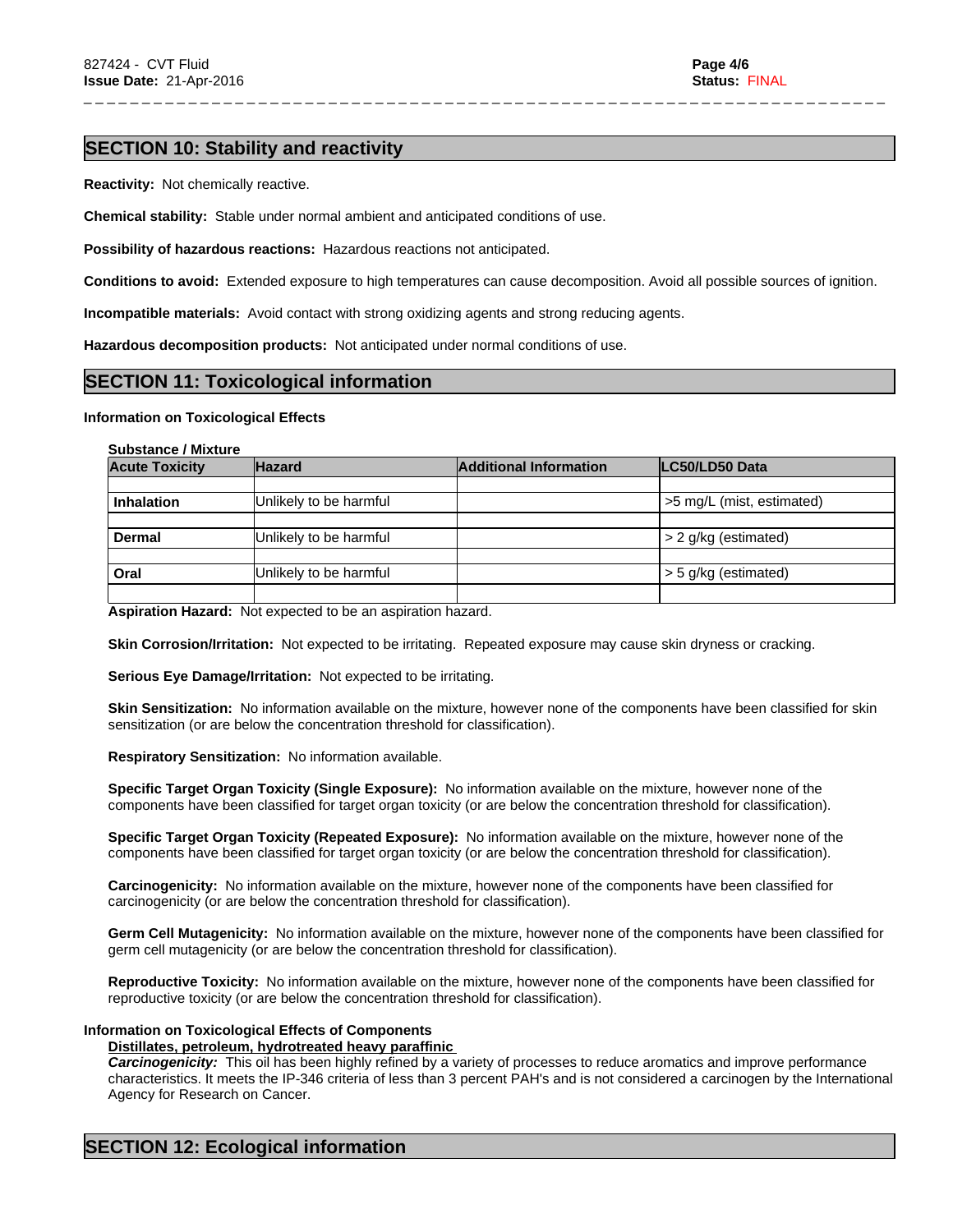## **SECTION 10: Stability and reactivity**

**Reactivity:** Not chemically reactive.

**Chemical stability:** Stable under normal ambient and anticipated conditions of use.

**Possibility of hazardous reactions:** Hazardous reactions not anticipated.

**Conditions to avoid:** Extended exposure to high temperatures can cause decomposition. Avoid all possible sources of ignition.

\_ \_ \_ \_ \_ \_ \_ \_ \_ \_ \_ \_ \_ \_ \_ \_ \_ \_ \_ \_ \_ \_ \_ \_ \_ \_ \_ \_ \_ \_ \_ \_ \_ \_ \_ \_ \_ \_ \_ \_ \_ \_ \_ \_ \_ \_ \_ \_ \_ \_ \_ \_ \_ \_ \_ \_ \_ \_ \_ \_ \_ \_ \_ \_ \_ \_ \_ \_ \_

**Incompatible materials:** Avoid contact with strong oxidizing agents and strong reducing agents.

**Hazardous decomposition products:** Not anticipated under normal conditions of use.

## **SECTION 11: Toxicological information**

## **Information on Toxicological Effects**

#### **Substance / Mixture**

| <b>Acute Toxicity</b> | <b>Hazard</b>          | <b>Additional Information</b> | LC50/LD50 Data            |
|-----------------------|------------------------|-------------------------------|---------------------------|
|                       |                        |                               |                           |
| <b>Inhalation</b>     | Unlikely to be harmful |                               | >5 mg/L (mist, estimated) |
|                       |                        |                               |                           |
| Dermal                | Unlikely to be harmful |                               | > 2 g/kg (estimated)      |
|                       |                        |                               |                           |
| Oral                  | Unlikely to be harmful |                               | $>$ 5 g/kg (estimated)    |
|                       |                        |                               |                           |

**Aspiration Hazard:** Not expected to be an aspiration hazard.

**Skin Corrosion/Irritation:** Not expected to be irritating. Repeated exposure may cause skin dryness or cracking.

**Serious Eye Damage/Irritation:** Not expected to be irritating.

**Skin Sensitization:** No information available on the mixture, however none of the components have been classified for skin sensitization (or are below the concentration threshold for classification).

**Respiratory Sensitization:** No information available.

**Specific Target Organ Toxicity (Single Exposure):** No information available on the mixture, however none of the components have been classified for target organ toxicity (or are below the concentration threshold for classification).

**Specific Target Organ Toxicity (Repeated Exposure):** No information available on the mixture, however none of the components have been classified for target organ toxicity (or are below the concentration threshold for classification).

**Carcinogenicity:** No information available on the mixture, however none of the components have been classified for carcinogenicity (or are below the concentration threshold for classification).

**Germ Cell Mutagenicity:** No information available on the mixture, however none of the components have been classified for germ cell mutagenicity (or are below the concentration threshold for classification).

**Reproductive Toxicity:** No information available on the mixture, however none of the components have been classified for reproductive toxicity (or are below the concentration threshold for classification).

## **Information on Toxicological Effects of Components**

#### **Distillates, petroleum, hydrotreated heavy paraffinic**

*Carcinogenicity:* This oil has been highly refined by a variety of processes to reduce aromatics and improve performance characteristics. It meets the IP-346 criteria of less than 3 percent PAH's and is not considered a carcinogen by the International Agency for Research on Cancer.

# **SECTION 12: Ecological information**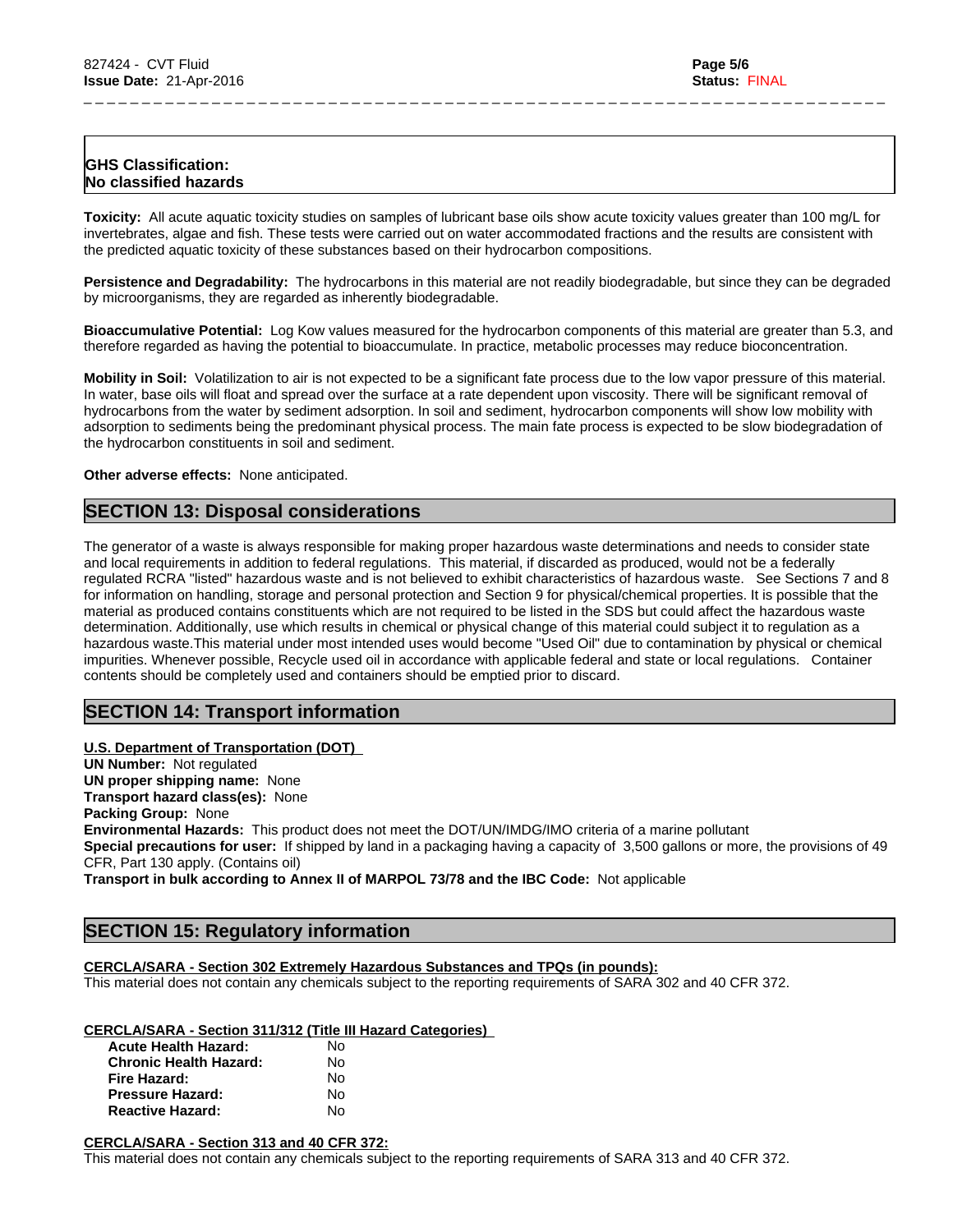## **GHS Classification: No classified hazards**

**Toxicity:** All acute aquatic toxicity studies on samples of lubricant base oils show acute toxicity values greater than 100 mg/L for invertebrates, algae and fish. These tests were carried out on water accommodated fractions and the results are consistent with the predicted aquatic toxicity of these substances based on their hydrocarbon compositions.

\_ \_ \_ \_ \_ \_ \_ \_ \_ \_ \_ \_ \_ \_ \_ \_ \_ \_ \_ \_ \_ \_ \_ \_ \_ \_ \_ \_ \_ \_ \_ \_ \_ \_ \_ \_ \_ \_ \_ \_ \_ \_ \_ \_ \_ \_ \_ \_ \_ \_ \_ \_ \_ \_ \_ \_ \_ \_ \_ \_ \_ \_ \_ \_ \_ \_ \_ \_ \_

**Persistence and Degradability:** The hydrocarbons in this material are not readily biodegradable, but since they can be degraded by microorganisms, they are regarded as inherently biodegradable.

**Bioaccumulative Potential:** Log Kow values measured for the hydrocarbon components of this material are greater than 5.3, and therefore regarded as having the potential to bioaccumulate. In practice, metabolic processes may reduce bioconcentration.

**Mobility in Soil:** Volatilization to air is not expected to be a significant fate process due to the low vapor pressure of this material. In water, base oils will float and spread over the surface at a rate dependent upon viscosity. There will be significant removal of hydrocarbons from the water by sediment adsorption. In soil and sediment, hydrocarbon components will show low mobility with adsorption to sediments being the predominant physical process. The main fate process is expected to be slow biodegradation of the hydrocarbon constituents in soil and sediment.

**Other adverse effects:** None anticipated.

## **SECTION 13: Disposal considerations**

The generator of a waste is always responsible for making proper hazardous waste determinations and needs to consider state and local requirements in addition to federal regulations. This material, if discarded as produced, would not be a federally regulated RCRA "listed" hazardous waste and is not believed to exhibit characteristics of hazardous waste. See Sections 7 and 8 for information on handling, storage and personal protection and Section 9 for physical/chemical properties. It is possible that the material as produced contains constituents which are not required to be listed in the SDS but could affect the hazardous waste determination. Additionally, use which results in chemical or physical change of this material could subject it to regulation as a hazardous waste.This material under most intended uses would become "Used Oil" due to contamination by physical or chemical impurities. Whenever possible, Recycle used oil in accordance with applicable federal and state or local regulations. Container contents should be completely used and containers should be emptied prior to discard.

# **SECTION 14: Transport information**

**U.S. Department of Transportation (DOT) UN Number:** Not regulated **UN proper shipping name:** None **Transport hazard class(es):** None **Packing Group:** None **Environmental Hazards:** This product does not meet the DOT/UN/IMDG/IMO criteria of a marine pollutant **Special precautions for user:** If shipped by land in a packaging having a capacity of 3,500 gallons or more, the provisions of 49 CFR, Part 130 apply. (Contains oil)

**Transport in bulk according to Annex II of MARPOL 73/78 and the IBC Code:** Not applicable

# **SECTION 15: Regulatory information**

## **CERCLA/SARA - Section 302 Extremely Hazardous Substances and TPQs (in pounds):**

This material does not contain any chemicals subject to the reporting requirements of SARA 302 and 40 CFR 372.

## **CERCLA/SARA - Section 311/312 (Title III Hazard Categories)**

| <b>Acute Health Hazard:</b>   | N٥ |
|-------------------------------|----|
| <b>Chronic Health Hazard:</b> | N٥ |
| Fire Hazard:                  | N٥ |
| <b>Pressure Hazard:</b>       | N٥ |
| <b>Reactive Hazard:</b>       | N٥ |

#### **CERCLA/SARA - Section 313 and 40 CFR 372:**

This material does not contain any chemicals subject to the reporting requirements of SARA 313 and 40 CFR 372.